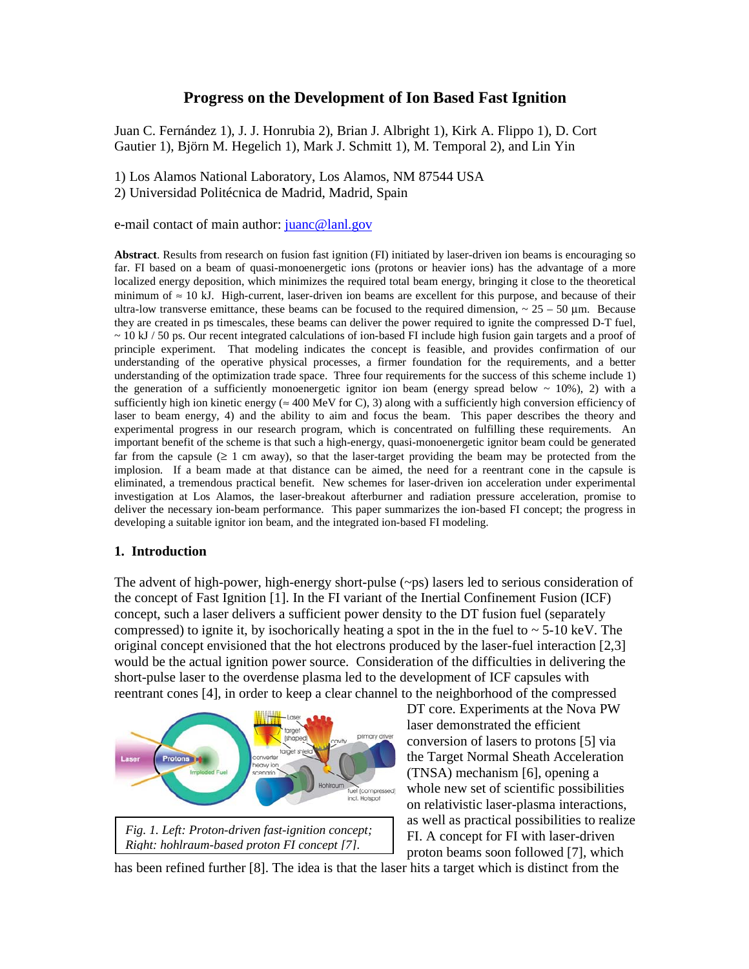# **Progress on the Development of Ion Based Fast Ignition**

Juan C. Fernández 1), J. J. Honrubia 2), Brian J. Albright 1), Kirk A. Flippo 1), D. Cort Gautier 1), Björn M. Hegelich 1), Mark J. Schmitt 1), M. Temporal 2), and Lin Yin

1) Los Alamos National Laboratory, Los Alamos, NM 87544 USA

2) Universidad Politécnica de Madrid, Madrid, Spain

e-mail contact of main author: juanc@lanl.gov

**Abstract**. Results from research on fusion fast ignition (FI) initiated by laser-driven ion beams is encouraging so far. FI based on a beam of quasi-monoenergetic ions (protons or heavier ions) has the advantage of a more localized energy deposition, which minimizes the required total beam energy, bringing it close to the theoretical minimum of ≈ 10 kJ. High-current, laser-driven ion beams are excellent for this purpose, and because of their ultra-low transverse emittance, these beams can be focused to the required dimension,  $\sim$  25 – 50 µm. Because they are created in ps timescales, these beams can deliver the power required to ignite the compressed D-T fuel,  $\sim$  10 kJ / 50 ps. Our recent integrated calculations of ion-based FI include high fusion gain targets and a proof of principle experiment. That modeling indicates the concept is feasible, and provides confirmation of our understanding of the operative physical processes, a firmer foundation for the requirements, and a better understanding of the optimization trade space. Three four requirements for the success of this scheme include 1) the generation of a sufficiently monoenergetic ignitor ion beam (energy spread below  $\sim$  10%), 2) with a sufficiently high ion kinetic energy ( $\approx 400$  MeV for C), 3) along with a sufficiently high conversion efficiency of laser to beam energy, 4) and the ability to aim and focus the beam. This paper describes the theory and experimental progress in our research program, which is concentrated on fulfilling these requirements. An important benefit of the scheme is that such a high-energy, quasi-monoenergetic ignitor beam could be generated far from the capsule  $(≥ 1$  cm away), so that the laser-target providing the beam may be protected from the implosion. If a beam made at that distance can be aimed, the need for a reentrant cone in the capsule is eliminated, a tremendous practical benefit. New schemes for laser-driven ion acceleration under experimental investigation at Los Alamos, the laser-breakout afterburner and radiation pressure acceleration, promise to deliver the necessary ion-beam performance. This paper summarizes the ion-based FI concept; the progress in developing a suitable ignitor ion beam, and the integrated ion-based FI modeling.

#### **1. Introduction**

The advent of high-power, high-energy short-pulse  $(\sim_{PS})$  lasers led to serious consideration of the concept of Fast Ignition [1]. In the FI variant of the Inertial Confinement Fusion (ICF) concept, such a laser delivers a sufficient power density to the DT fusion fuel (separately compressed) to ignite it, by isochorically heating a spot in the in the fuel to  $\sim$  5-10 keV. The original concept envisioned that the hot electrons produced by the laser-fuel interaction [2,3] would be the actual ignition power source. Consideration of the difficulties in delivering the short-pulse laser to the overdense plasma led to the development of ICF capsules with reentrant cones [4], in order to keep a clear channel to the neighborhood of the compressed



DT core. Experiments at the Nova PW laser demonstrated the efficient conversion of lasers to protons [5] via the Target Normal Sheath Acceleration (TNSA) mechanism [6], opening a whole new set of scientific possibilities on relativistic laser-plasma interactions, as well as practical possibilities to realize FI. A concept for FI with laser-driven proton beams soon followed [7], which

has been refined further [8]. The idea is that the laser hits a target which is distinct from the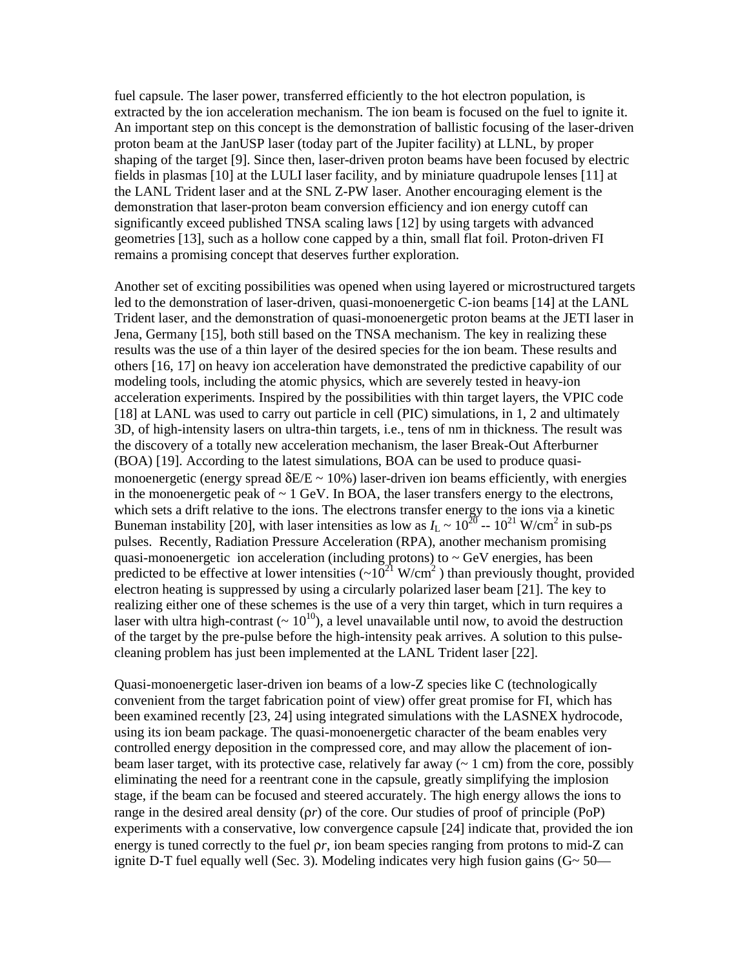fuel capsule. The laser power, transferred efficiently to the hot electron population, is extracted by the ion acceleration mechanism. The ion beam is focused on the fuel to ignite it. An important step on this concept is the demonstration of ballistic focusing of the laser-driven proton beam at the JanUSP laser (today part of the Jupiter facility) at LLNL, by proper shaping of the target [9]. Since then, laser-driven proton beams have been focused by electric fields in plasmas [10] at the LULI laser facility, and by miniature quadrupole lenses [11] at the LANL Trident laser and at the SNL Z-PW laser. Another encouraging element is the demonstration that laser-proton beam conversion efficiency and ion energy cutoff can significantly exceed published TNSA scaling laws [12] by using targets with advanced geometries [13], such as a hollow cone capped by a thin, small flat foil. Proton-driven FI remains a promising concept that deserves further exploration.

Another set of exciting possibilities was opened when using layered or microstructured targets led to the demonstration of laser-driven, quasi-monoenergetic C-ion beams [14] at the LANL Trident laser, and the demonstration of quasi-monoenergetic proton beams at the JETI laser in Jena, Germany [15], both still based on the TNSA mechanism. The key in realizing these results was the use of a thin layer of the desired species for the ion beam. These results and others [16, 17] on heavy ion acceleration have demonstrated the predictive capability of our modeling tools, including the atomic physics, which are severely tested in heavy-ion acceleration experiments. Inspired by the possibilities with thin target layers, the VPIC code [18] at LANL was used to carry out particle in cell (PIC) simulations, in 1, 2 and ultimately 3D, of high-intensity lasers on ultra-thin targets, i.e., tens of nm in thickness. The result was the discovery of a totally new acceleration mechanism, the laser Break-Out Afterburner (BOA) [19]. According to the latest simulations, BOA can be used to produce quasimonoenergetic (energy spread  $\delta E/E \sim 10\%$ ) laser-driven ion beams efficiently, with energies in the monoenergetic peak of  $\sim 1$  GeV. In BOA, the laser transfers energy to the electrons, which sets a drift relative to the ions. The electrons transfer energy to the ions via a kinetic Buneman instability [20], with laser intensities as low as  $I_L \sim 10^{20} - 10^{21}$  W/cm<sup>2</sup> in sub-ps pulses. Recently, Radiation Pressure Acceleration (RPA), another mechanism promising quasi-monoenergetic ion acceleration (including protons) to  $\sim$  GeV energies, has been predicted to be effective at lower intensities  $({\sim}10^{21} \text{ W/cm}^2)$  than previously thought, provided electron heating is suppressed by using a circularly polarized laser beam [21]. The key to realizing either one of these schemes is the use of a very thin target, which in turn requires a laser with ultra high-contrast ( $\sim 10^{10}$ ), a level unavailable until now, to avoid the destruction of the target by the pre-pulse before the high-intensity peak arrives. A solution to this pulsecleaning problem has just been implemented at the LANL Trident laser [22].

Quasi-monoenergetic laser-driven ion beams of a low-Z species like C (technologically convenient from the target fabrication point of view) offer great promise for FI, which has been examined recently [23, 24] using integrated simulations with the LASNEX hydrocode, using its ion beam package. The quasi-monoenergetic character of the beam enables very controlled energy deposition in the compressed core, and may allow the placement of ionbeam laser target, with its protective case, relatively far away ( $\sim 1$  cm) from the core, possibly eliminating the need for a reentrant cone in the capsule, greatly simplifying the implosion stage, if the beam can be focused and steered accurately. The high energy allows the ions to range in the desired areal density (ρ*r*) of the core. Our studies of proof of principle (PoP) experiments with a conservative, low convergence capsule [24] indicate that, provided the ion energy is tuned correctly to the fuel ρ*r*, ion beam species ranging from protons to mid-Z can ignite D-T fuel equally well (Sec. 3). Modeling indicates very high fusion gains  $(G~50$ —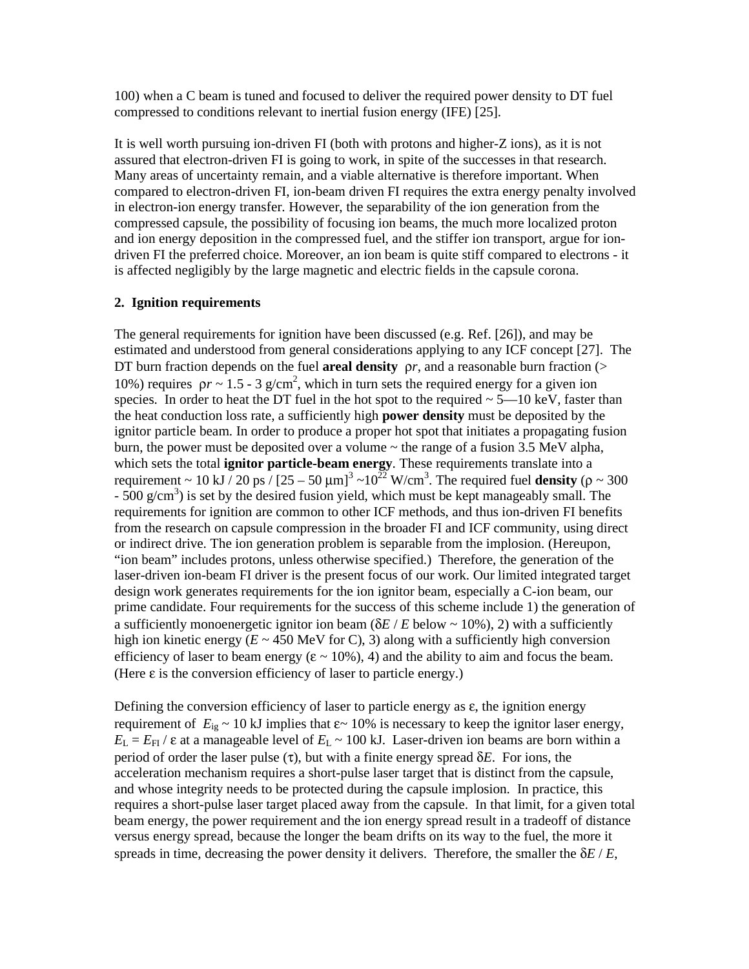100) when a C beam is tuned and focused to deliver the required power density to DT fuel compressed to conditions relevant to inertial fusion energy (IFE) [25].

It is well worth pursuing ion-driven FI (both with protons and higher-Z ions), as it is not assured that electron-driven FI is going to work, in spite of the successes in that research. Many areas of uncertainty remain, and a viable alternative is therefore important. When compared to electron-driven FI, ion-beam driven FI requires the extra energy penalty involved in electron-ion energy transfer. However, the separability of the ion generation from the compressed capsule, the possibility of focusing ion beams, the much more localized proton and ion energy deposition in the compressed fuel, and the stiffer ion transport, argue for iondriven FI the preferred choice. Moreover, an ion beam is quite stiff compared to electrons - it is affected negligibly by the large magnetic and electric fields in the capsule corona.

# **2. Ignition requirements**

The general requirements for ignition have been discussed (e.g. Ref. [26]), and may be estimated and understood from general considerations applying to any ICF concept [27]. The DT burn fraction depends on the fuel **areal density**  $\rho r$ , and a reasonable burn fraction (> 10%) requires  $pr \sim 1.5 - 3$  g/cm<sup>2</sup>, which in turn sets the required energy for a given ion species. In order to heat the DT fuel in the hot spot to the required  $\sim 5-10$  keV, faster than the heat conduction loss rate, a sufficiently high **power density** must be deposited by the ignitor particle beam. In order to produce a proper hot spot that initiates a propagating fusion burn, the power must be deposited over a volume  $\sim$  the range of a fusion 3.5 MeV alpha, which sets the total **ignitor particle-beam energy**. These requirements translate into a requirement  $\sim 10$  kJ / 20 ps /  $[25 - 50 \,\mu m]^3 \sim 10^{22}$  W/cm<sup>3</sup>. The required fuel **density** ( $\rho \sim 300$  $\sim$  500 g/cm<sup>3</sup>) is set by the desired fusion yield, which must be kept manageably small. The requirements for ignition are common to other ICF methods, and thus ion-driven FI benefits from the research on capsule compression in the broader FI and ICF community, using direct or indirect drive. The ion generation problem is separable from the implosion. (Hereupon, "ion beam" includes protons, unless otherwise specified.) Therefore, the generation of the laser-driven ion-beam FI driver is the present focus of our work. Our limited integrated target design work generates requirements for the ion ignitor beam, especially a C-ion beam, our prime candidate. Four requirements for the success of this scheme include 1) the generation of a sufficiently monoenergetic ignitor ion beam ( $\delta E / E$  below  $\sim 10\%$ ), 2) with a sufficiently high ion kinetic energy  $(E \sim 450 \text{ MeV}$  for C), 3) along with a sufficiently high conversion efficiency of laser to beam energy  $(\epsilon \sim 10\%)$ , 4) and the ability to aim and focus the beam. (Here  $\varepsilon$  is the conversion efficiency of laser to particle energy.)

Defining the conversion efficiency of laser to particle energy as ε, the ignition energy requirement of  $E_{ig} \sim 10 \text{ kJ}$  implies that  $\varepsilon \sim 10\%$  is necessary to keep the ignitor laser energy,  $E_L = E_{FI}$  /  $\varepsilon$  at a manageable level of  $E_L \sim 100$  kJ. Laser-driven ion beams are born within a period of order the laser pulse (τ), but with a finite energy spread δ*E*. For ions, the acceleration mechanism requires a short-pulse laser target that is distinct from the capsule, and whose integrity needs to be protected during the capsule implosion. In practice, this requires a short-pulse laser target placed away from the capsule. In that limit, for a given total beam energy, the power requirement and the ion energy spread result in a tradeoff of distance versus energy spread, because the longer the beam drifts on its way to the fuel, the more it spreads in time, decreasing the power density it delivers. Therefore, the smaller the  $\delta E / E$ ,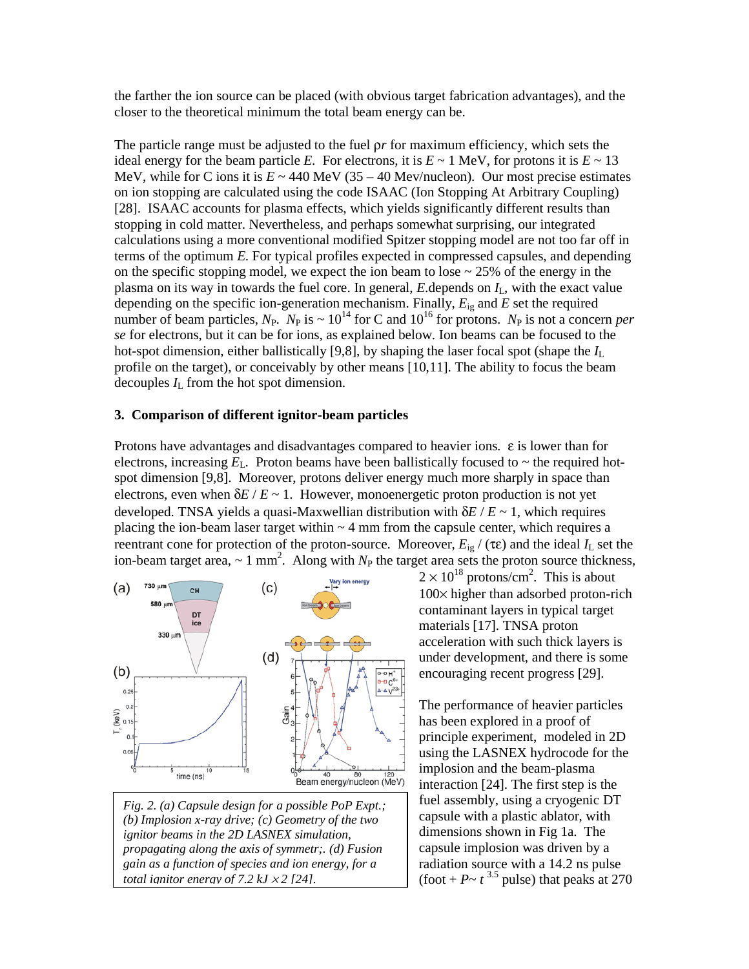the farther the ion source can be placed (with obvious target fabrication advantages), and the closer to the theoretical minimum the total beam energy can be.

The particle range must be adjusted to the fuel ρ*r* for maximum efficiency, which sets the ideal energy for the beam particle *E*. For electrons, it is  $E \sim 1$  MeV, for protons it is  $E \sim 13$ MeV, while for C ions it is  $E \sim 440$  MeV (35 – 40 Mev/nucleon). Our most precise estimates on ion stopping are calculated using the code ISAAC (Ion Stopping At Arbitrary Coupling) [28]. ISAAC accounts for plasma effects, which yields significantly different results than stopping in cold matter. Nevertheless, and perhaps somewhat surprising, our integrated calculations using a more conventional modified Spitzer stopping model are not too far off in terms of the optimum *E*. For typical profiles expected in compressed capsules, and depending on the specific stopping model, we expect the ion beam to lose  $\sim$  25% of the energy in the plasma on its way in towards the fuel core. In general, *E*.depends on *I*L, with the exact value depending on the specific ion-generation mechanism. Finally, *E*ig and *E* set the required number of beam particles,  $N_P$ .  $N_P$  is  $\sim 10^{14}$  for C and  $10^{16}$  for protons.  $N_P$  is not a concern *per se* for electrons, but it can be for ions, as explained below. Ion beams can be focused to the hot-spot dimension, either ballistically [9,8], by shaping the laser focal spot (shape the *I*<sup>L</sup> profile on the target), or conceivably by other means [10,11]. The ability to focus the beam decouples *I*L from the hot spot dimension.

#### **3. Comparison of different ignitor-beam particles**

Protons have advantages and disadvantages compared to heavier ions.  $\varepsilon$  is lower than for electrons, increasing  $E<sub>L</sub>$ . Proton beams have been ballistically focused to  $\sim$  the required hotspot dimension [9,8]. Moreover, protons deliver energy much more sharply in space than electrons, even when  $\delta E / E \sim 1$ . However, monoenergetic proton production is not yet developed. TNSA yields a quasi-Maxwellian distribution with δ*E* / *E* ~ 1, which requires placing the ion-beam laser target within  $\sim$  4 mm from the capsule center, which requires a reentrant cone for protection of the proton-source. Moreover,  $E_{ig} / (\tau \varepsilon)$  and the ideal  $I_L$  set the ion-beam target area,  $\sim 1$  mm<sup>2</sup>. Along with  $N_P$  the target area sets the proton source thickness,



*(b) Implosion x-ray drive; (c) Geometry of the two ignitor beams in the 2D LASNEX simulation, propagating along the axis of symmetr;. (d) Fusion gain as a function of species and ion energy, for a total ignitor energy of 7.2 kJ*  $\times$  *2 [24].* 

 $2 \times 10^{18}$  protons/cm<sup>2</sup>. This is about 100× higher than adsorbed proton-rich contaminant layers in typical target materials [17]. TNSA proton acceleration with such thick layers is under development, and there is some encouraging recent progress [29].

The performance of heavier particles has been explored in a proof of principle experiment, modeled in 2D using the LASNEX hydrocode for the implosion and the beam-plasma interaction [24]. The first step is the fuel assembly, using a cryogenic DT capsule with a plastic ablator, with dimensions shown in Fig 1a. The capsule implosion was driven by a radiation source with a 14.2 ns pulse (foot +  $P \sim t^{3.5}$  pulse) that peaks at 270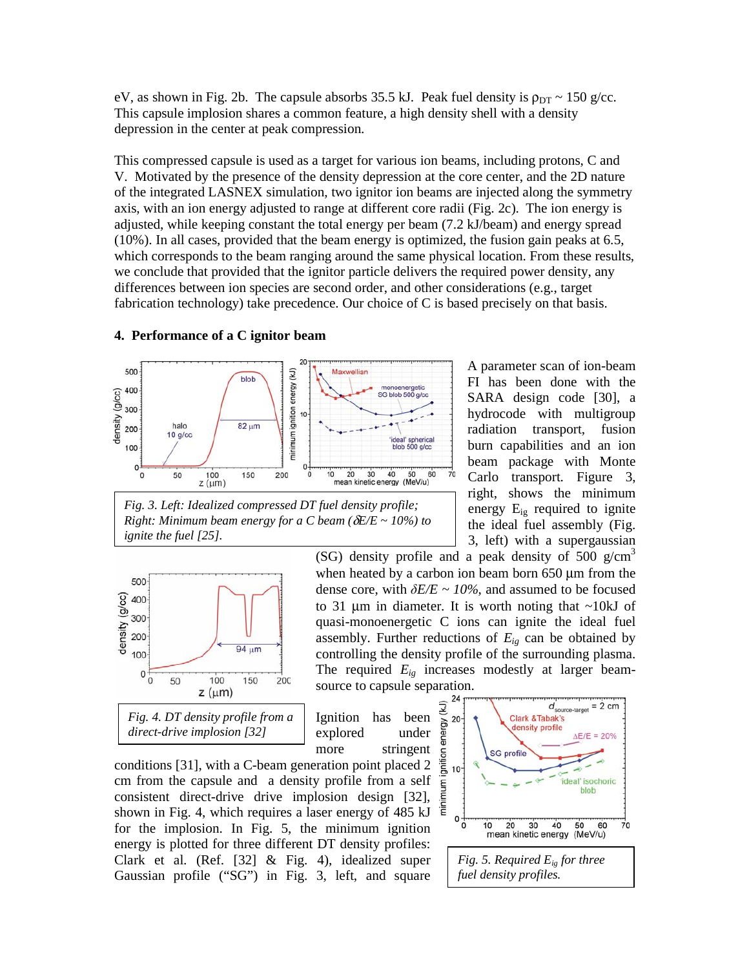eV, as shown in Fig. 2b. The capsule absorbs 35.5 kJ. Peak fuel density is  $\rho_{DT} \sim 150$  g/cc. This capsule implosion shares a common feature, a high density shell with a density depression in the center at peak compression.

This compressed capsule is used as a target for various ion beams, including protons, C and V. Motivated by the presence of the density depression at the core center, and the 2D nature of the integrated LASNEX simulation, two ignitor ion beams are injected along the symmetry axis, with an ion energy adjusted to range at different core radii (Fig. 2c). The ion energy is adjusted, while keeping constant the total energy per beam (7.2 kJ/beam) and energy spread (10%). In all cases, provided that the beam energy is optimized, the fusion gain peaks at 6.5, which corresponds to the beam ranging around the same physical location. From these results, we conclude that provided that the ignitor particle delivers the required power density, any differences between ion species are second order, and other considerations (e.g., target fabrication technology) take precedence. Our choice of C is based precisely on that basis.



#### **4. Performance of a C ignitor beam**

*Fig. 3. Left: Idealized compressed DT fuel density profile; Right: Minimum beam energy for a C beam (*δ*E/E ~ 10%) to ignite the fuel [25].* 



*direct-drive implosion [32]* 

(SG) density profile and a peak density of 500  $g/cm<sup>3</sup>$ when heated by a carbon ion beam born 650 μm from the dense core, with *δE/E ~ 10%*, and assumed to be focused to 31 μm in diameter. It is worth noting that ~10kJ of quasi-monoenergetic C ions can ignite the ideal fuel assembly. Further reductions of  $E_{ig}$  can be obtained by controlling the density profile of the surrounding plasma. The required *Eig* increases modestly at larger beamsource to capsule separation.

Ignition has been explored under more stringent

conditions [31], with a C-beam generation point placed 2 cm from the capsule and a density profile from a self consistent direct-drive drive implosion design [32], shown in Fig. 4, which requires a laser energy of 485 kJ for the implosion. In Fig. 5, the minimum ignition energy is plotted for three different DT density profiles: Clark et al. (Ref. [32] & Fig. 4), idealized super Gaussian profile ("SG") in Fig. 3, left, and square



FI has been done with the SARA design code [30], a hydrocode with multigroup radiation transport, fusion burn capabilities and an ion beam package with Monte Carlo transport. Figure 3, right, shows the minimum energy  $E_{ig}$  required to ignite the ideal fuel assembly (Fig. 3, left) with a supergaussian

A parameter scan of ion-beam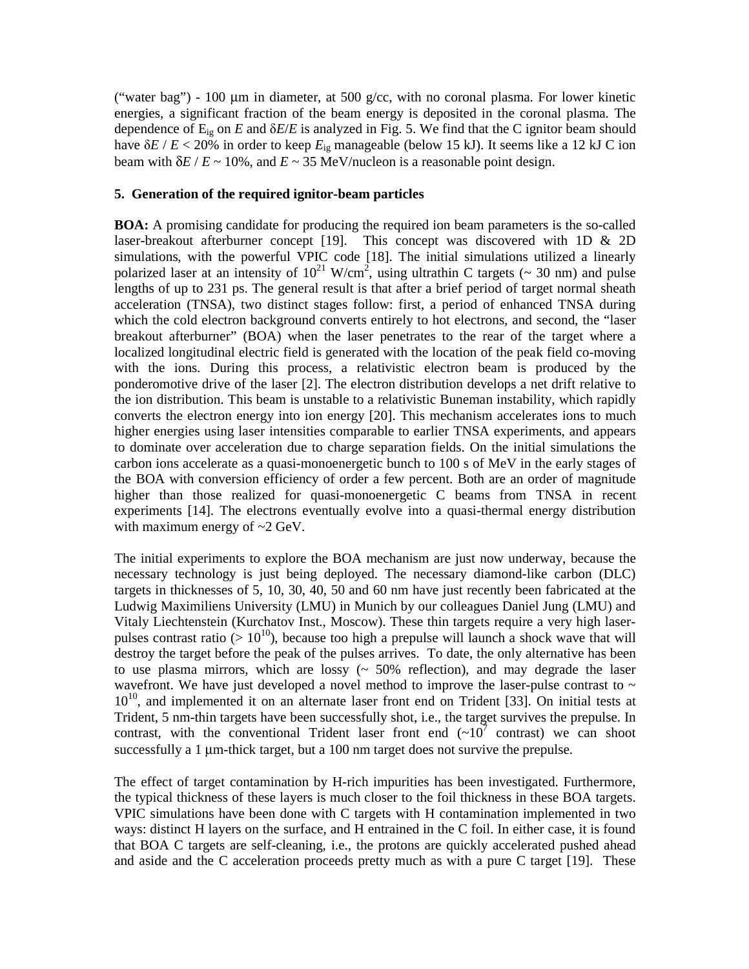("water bag") - 100 μm in diameter, at 500 g/cc, with no coronal plasma. For lower kinetic energies, a significant fraction of the beam energy is deposited in the coronal plasma. The dependence of  $E_{ig}$  on *E* and  $\delta E/E$  is analyzed in Fig. 5. We find that the C ignitor beam should have δ*E* / *E* < 20% in order to keep *E*ig manageable (below 15 kJ). It seems like a 12 kJ C ion beam with  $\delta E / E \sim 10\%$ , and  $E \sim 35$  MeV/nucleon is a reasonable point design.

## **5. Generation of the required ignitor-beam particles**

**BOA:** A promising candidate for producing the required ion beam parameters is the so-called laser-breakout afterburner concept [19]. This concept was discovered with 1D & 2D simulations, with the powerful VPIC code [18]. The initial simulations utilized a linearly polarized laser at an intensity of  $10^{21}$  W/cm<sup>2</sup>, using ultrathin C targets (~ 30 nm) and pulse lengths of up to 231 ps. The general result is that after a brief period of target normal sheath acceleration (TNSA), two distinct stages follow: first, a period of enhanced TNSA during which the cold electron background converts entirely to hot electrons, and second, the "laser breakout afterburner" (BOA) when the laser penetrates to the rear of the target where a localized longitudinal electric field is generated with the location of the peak field co-moving with the ions. During this process, a relativistic electron beam is produced by the ponderomotive drive of the laser [2]. The electron distribution develops a net drift relative to the ion distribution. This beam is unstable to a relativistic Buneman instability, which rapidly converts the electron energy into ion energy [20]. This mechanism accelerates ions to much higher energies using laser intensities comparable to earlier TNSA experiments, and appears to dominate over acceleration due to charge separation fields. On the initial simulations the carbon ions accelerate as a quasi-monoenergetic bunch to 100 s of MeV in the early stages of the BOA with conversion efficiency of order a few percent. Both are an order of magnitude higher than those realized for quasi-monoenergetic C beams from TNSA in recent experiments [14]. The electrons eventually evolve into a quasi-thermal energy distribution with maximum energy of  $\sim$ 2 GeV.

The initial experiments to explore the BOA mechanism are just now underway, because the necessary technology is just being deployed. The necessary diamond-like carbon (DLC) targets in thicknesses of 5, 10, 30, 40, 50 and 60 nm have just recently been fabricated at the Ludwig Maximiliens University (LMU) in Munich by our colleagues Daniel Jung (LMU) and Vitaly Liechtenstein (Kurchatov Inst., Moscow). These thin targets require a very high laserpulses contrast ratio ( $> 10^{10}$ ), because too high a prepulse will launch a shock wave that will destroy the target before the peak of the pulses arrives. To date, the only alternative has been to use plasma mirrors, which are lossy  $($   $\sim$  50% reflection), and may degrade the laser wavefront. We have just developed a novel method to improve the laser-pulse contrast to  $\sim$  $10^{10}$ , and implemented it on an alternate laser front end on Trident [33]. On initial tests at Trident, 5 nm-thin targets have been successfully shot, i.e., the target survives the prepulse. In contrast, with the conventional Trident laser front end  $({\sim}10^7$  contrast) we can shoot successfully a 1 μm-thick target, but a 100 nm target does not survive the prepulse.

The effect of target contamination by H-rich impurities has been investigated. Furthermore, the typical thickness of these layers is much closer to the foil thickness in these BOA targets. VPIC simulations have been done with C targets with H contamination implemented in two ways: distinct H layers on the surface, and H entrained in the C foil. In either case, it is found that BOA C targets are self-cleaning, i.e., the protons are quickly accelerated pushed ahead and aside and the C acceleration proceeds pretty much as with a pure C target [19]. These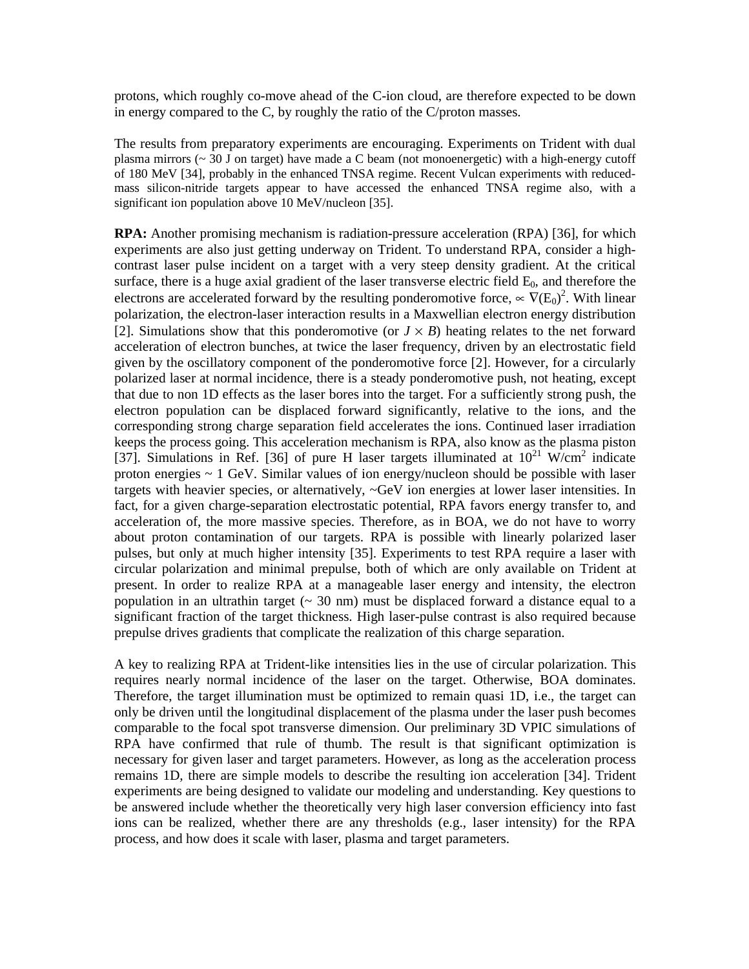protons, which roughly co-move ahead of the C-ion cloud, are therefore expected to be down in energy compared to the C, by roughly the ratio of the C/proton masses.

The results from preparatory experiments are encouraging. Experiments on Trident with dual plasma mirrors ( $\sim$  30 J on target) have made a C beam (not monoenergetic) with a high-energy cutoff of 180 MeV [34], probably in the enhanced TNSA regime. Recent Vulcan experiments with reducedmass silicon-nitride targets appear to have accessed the enhanced TNSA regime also, with a significant ion population above 10 MeV/nucleon [35].

**RPA:** Another promising mechanism is radiation-pressure acceleration (RPA) [36], for which experiments are also just getting underway on Trident. To understand RPA, consider a highcontrast laser pulse incident on a target with a very steep density gradient. At the critical surface, there is a huge axial gradient of the laser transverse electric field  $E_0$ , and therefore the electrons are accelerated forward by the resulting ponderomotive force,  $\propto \nabla (E_0)^2$ . With linear polarization, the electron-laser interaction results in a Maxwellian electron energy distribution [2]. Simulations show that this ponderomotive (or  $J \times B$ ) heating relates to the net forward acceleration of electron bunches, at twice the laser frequency, driven by an electrostatic field given by the oscillatory component of the ponderomotive force [2]. However, for a circularly polarized laser at normal incidence, there is a steady ponderomotive push, not heating, except that due to non 1D effects as the laser bores into the target. For a sufficiently strong push, the electron population can be displaced forward significantly, relative to the ions, and the corresponding strong charge separation field accelerates the ions. Continued laser irradiation keeps the process going. This acceleration mechanism is RPA, also know as the plasma piston [37]. Simulations in Ref. [36] of pure H laser targets illuminated at  $10^{21}$  W/cm<sup>2</sup> indicate proton energies  $\sim 1$  GeV. Similar values of ion energy/nucleon should be possible with laser targets with heavier species, or alternatively, ~GeV ion energies at lower laser intensities. In fact, for a given charge-separation electrostatic potential, RPA favors energy transfer to, and acceleration of, the more massive species. Therefore, as in BOA, we do not have to worry about proton contamination of our targets. RPA is possible with linearly polarized laser pulses, but only at much higher intensity [35]. Experiments to test RPA require a laser with circular polarization and minimal prepulse, both of which are only available on Trident at present. In order to realize RPA at a manageable laser energy and intensity, the electron population in an ultrathin target  $\sim$  30 nm) must be displaced forward a distance equal to a significant fraction of the target thickness. High laser-pulse contrast is also required because prepulse drives gradients that complicate the realization of this charge separation.

A key to realizing RPA at Trident-like intensities lies in the use of circular polarization. This requires nearly normal incidence of the laser on the target. Otherwise, BOA dominates. Therefore, the target illumination must be optimized to remain quasi 1D, i.e., the target can only be driven until the longitudinal displacement of the plasma under the laser push becomes comparable to the focal spot transverse dimension. Our preliminary 3D VPIC simulations of RPA have confirmed that rule of thumb. The result is that significant optimization is necessary for given laser and target parameters. However, as long as the acceleration process remains 1D, there are simple models to describe the resulting ion acceleration [34]. Trident experiments are being designed to validate our modeling and understanding. Key questions to be answered include whether the theoretically very high laser conversion efficiency into fast ions can be realized, whether there are any thresholds (e.g., laser intensity) for the RPA process, and how does it scale with laser, plasma and target parameters.